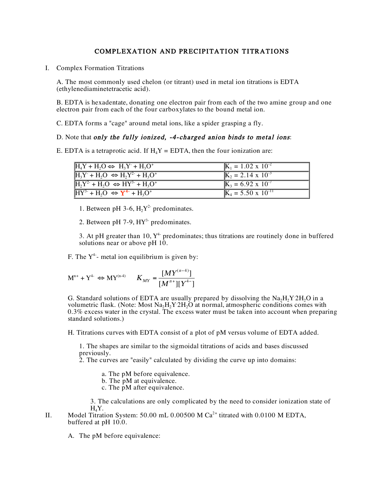## COMPLEXATION AND PRECIPITATION TITRATIONS

I. Complex Formation Titrations

A. The most commonly used chelon (or titrant) used in metal ion titrations is EDTA (ethylenediaminetetracetic acid).

B. EDTA is hexadentate, donating one electron pair from each of the two amine group and one electron pair from each of the four carboxylates to the bound metal ion.

C. EDTA forms a "cage" around metal ions, like a spider grasping a fly.

## D. Note that only the fully ionized, -4-charged anion binds to metal ions:

E. EDTA is a tetraprotic acid. If  $H_4Y = EDTA$ , then the four ionization are:

| $H_4Y + H_2O \Leftrightarrow H_3Y^+ + H_3O^+$ | $\mathbf{K}_1 = 1.02 \times 10^{-2}$    |
|-----------------------------------------------|-----------------------------------------|
| $H_3Y + H_2O \Leftrightarrow H_2Y^2 + H_3O^+$ | $K_2 = 2.\overline{14} \times 10^{-3}$  |
| $H_2Y^2 + H_2O \Leftrightarrow HY^3 + H_3O^+$ | $K_3 = 6.92 \times 10^{-7}$             |
| $HY^3 + H_2O \Leftrightarrow Y^{4-} + H_3O^+$ | $\overline{K}_4 = 5.50 \times 10^{-11}$ |

1. Between pH 3-6,  $H_2Y^2$  predominates.

2. Between pH 7-9,  $HY^{3}$ - predominates.

3. At pH greater than 10,  $Y^4$  predominates; thus titrations are routinely done in buffered solutions near or above pH 10.

F. The  $Y^4$ - metal ion equilibrium is given by:

$$
M^{n+} + Y^{4} \Leftrightarrow MY^{(n\!4)} \qquad K_{MY} = \frac{[MY^{(n-4)}]}{[M^{n+}][Y^{4-}]}
$$

 $\ddot{\phantom{a}}$ G. Standard solutions of EDTA are usually prepared by dissolving the  $\text{Na}_2\text{H}_2\text{Y} \cdot 2\text{H}_2\text{O}$  in a volumetric flask. (Note: Most  $\text{Na}_2\text{H}_2\text{Y}$  2H<sub>2</sub>O at normal, atmospheric conditions comes with 0.3% excess water in the crystal. The excess water must be taken into account when preparing standard solutions.)

H. Titrations curves with EDTA consist of a plot of pM versus volume of EDTA added.

1. The shapes are similar to the sigmoidal titrations of acids and bases discussed previously.

2. The curves are "easily" calculated by dividing the curve up into domains:

- a. The pM before equivalence.<br>b. The pM at equivalence.
- 
- c. The  $\hat{p}$ M after equivalence.

3. The calculations are only complicated by the need to consider ionization state of  $H_4Y$ .

II. Model Titration System: 50.00 mL 0.00500 M  $Ca<sup>2+</sup>$  titrated with 0.0100 M EDTA, buffered at pH 10.0.

A. The pM before equivalence: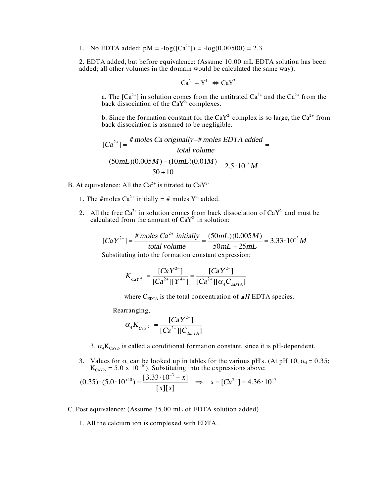1. No EDTA added:  $pM = -log([Ca^{2+}]) = -log(0.00500) = 2.3$ 

2. EDTA added, but before equivalence: (Assume 10.00 mL EDTA solution has been added; all other volumes in the domain would be calculated the same way).

$$
Ca^{2+} + Y^{4-} \Leftrightarrow CaY^{2-}
$$

a. The [Ca<sup>2+</sup>] in solution comes from the untitrated  $Ca^{2+}$  and the  $Ca^{2+}$  from the back dissociation of the CaY<sup>2-</sup> complexes.

b. Since the formation constant for the  $CaY^2$  complex is so large, the  $Ca^{2+}$  from back dissociation is assumed to be negligible.

$$
[Ca2+] = \frac{\text{\# moles Ca originally} - \text{\# moles EDTA added}}{\text{total volume}}
$$

$$
= \frac{(50 \text{mL})(0.005 M) - (10 \text{mL})(0.01 M)}{50 + 10} = 2.5 \cdot 10^{-3} M
$$

- B. At equivalence: All the  $Ca^{2+}$  is titrated to  $CaY^2$ 
	- 1. The #moles Ca<sup>2+</sup> initially = # moles  $Y^4$  added.
	- 2. All the free  $Ca^{2+}$  in solution comes from back dissociation of  $CaY^2$  and must be calculated from the amount of  $CaY<sup>2-</sup>$  in solution:

$$
[CaY^{2-}] = \frac{\text{\# moles } Ca^{2+} \text{ initially}}{\text{total volume}} = \frac{(50 \text{ mL})(0.005 M)}{50 \text{ mL} + 25 \text{ mL}} = 3.33 \cdot 10^{-3} M
$$
  
Substituting into the formation constant expression:

$$
K_{\text{CaY}^{2-}} = \frac{[CaY^{2-}]}{[Ca^{2+}][Y^{4-}]} = \frac{[CaY^{2-}]}{[Ca^{2+}][\alpha_4 C_{\text{EDTA}}]}
$$

where  $C_{\text{EDTA}}$  is the total concentration of **all** EDTA species.

Rearranging,

$$
\alpha_4 K_{\text{CaY}^2} = \frac{[CaY^2]}{[Ca^{2+}][C_{\text{EDTA}}]}
$$

- 3.  $\alpha_4 K_{\text{CAY2}}$  is called a conditional formation constant, since it is pH-dependent.
- J 3. Values for  $\alpha_4$  can be looked up in tables for the various pH's. (At pH 10,  $\alpha_4 = 0.35$ ;  $K_{\text{CAY2}} = 5.0 \times 10^{+10}$ . Substituting into the expressions above:

$$
(0.35) \cdot (5.0 \cdot 10^{+10}) = \frac{[3.33 \cdot 10^{-3} - x]}{[x][x]} \implies x = [Ca^{2+}] = 4.36 \cdot 10^{-7}
$$

C. Post equivalence: (Assume 35.00 mL of EDTA solution added)

1. All the calcium ion is complexed with EDTA.